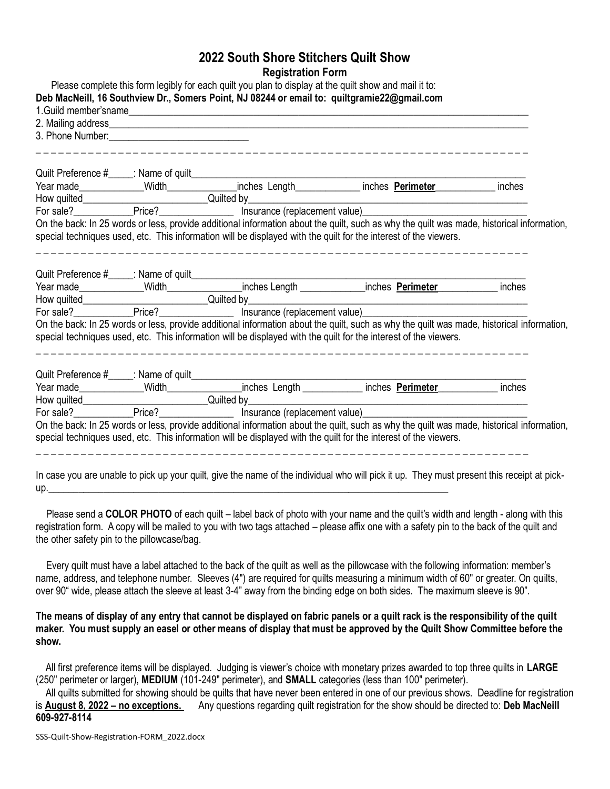## **2022 South Shore Stitchers Quilt Show Registration Form**

|                                                                                                                                                                                                             |                                                                                                                                                                                                                                             | 1.Guild member'sname                                                                                                                                                                                                                                          |        |
|-------------------------------------------------------------------------------------------------------------------------------------------------------------------------------------------------------------|---------------------------------------------------------------------------------------------------------------------------------------------------------------------------------------------------------------------------------------------|---------------------------------------------------------------------------------------------------------------------------------------------------------------------------------------------------------------------------------------------------------------|--------|
|                                                                                                                                                                                                             |                                                                                                                                                                                                                                             |                                                                                                                                                                                                                                                               |        |
|                                                                                                                                                                                                             |                                                                                                                                                                                                                                             |                                                                                                                                                                                                                                                               |        |
|                                                                                                                                                                                                             | How quilted<br>For sale? <u>Price?</u> Price? <u>Price: Price: Price: Price: Price: Price: Price: Price: Price: Price: Price: Price: Price: Price: Price: Price: Price: Price: Price: Price: Price: Price: Price: Price: Price: Price: </u> | <u> 1989 - Johann Stoff, deutscher Stoffen und der Stoffen und der Stoffen und der Stoffen und der Stoffen und der</u>                                                                                                                                        |        |
|                                                                                                                                                                                                             |                                                                                                                                                                                                                                             |                                                                                                                                                                                                                                                               |        |
|                                                                                                                                                                                                             |                                                                                                                                                                                                                                             | On the back: In 25 words or less, provide additional information about the quilt, such as why the quilt was made, historical information,                                                                                                                     |        |
|                                                                                                                                                                                                             |                                                                                                                                                                                                                                             | special techniques used, etc. This information will be displayed with the quilt for the interest of the viewers.                                                                                                                                              |        |
|                                                                                                                                                                                                             |                                                                                                                                                                                                                                             |                                                                                                                                                                                                                                                               |        |
|                                                                                                                                                                                                             |                                                                                                                                                                                                                                             |                                                                                                                                                                                                                                                               |        |
|                                                                                                                                                                                                             |                                                                                                                                                                                                                                             |                                                                                                                                                                                                                                                               | inches |
|                                                                                                                                                                                                             |                                                                                                                                                                                                                                             | For sale? The Price? Cuilted by<br>For sale? Price? Price? Price? Price: Price: Price: Price: Price: Price: Price: Price: Price: Price: Price: Price: Price: Price: Price: Price: Price: Price: Price: Price: Price: Price: Pric                              |        |
|                                                                                                                                                                                                             |                                                                                                                                                                                                                                             |                                                                                                                                                                                                                                                               |        |
|                                                                                                                                                                                                             |                                                                                                                                                                                                                                             | On the back: In 25 words or less, provide additional information about the quilt, such as why the quilt was made, historical information,<br>special techniques used, etc. This information will be displayed with the quilt for the interest of the viewers. |        |
|                                                                                                                                                                                                             |                                                                                                                                                                                                                                             |                                                                                                                                                                                                                                                               |        |
|                                                                                                                                                                                                             |                                                                                                                                                                                                                                             |                                                                                                                                                                                                                                                               |        |
|                                                                                                                                                                                                             |                                                                                                                                                                                                                                             |                                                                                                                                                                                                                                                               | inches |
|                                                                                                                                                                                                             |                                                                                                                                                                                                                                             | <u> 1980 - Johann Barn, mars an t-Amerikaansk politiker (</u>                                                                                                                                                                                                 |        |
|                                                                                                                                                                                                             |                                                                                                                                                                                                                                             |                                                                                                                                                                                                                                                               |        |
|                                                                                                                                                                                                             |                                                                                                                                                                                                                                             |                                                                                                                                                                                                                                                               |        |
| How quilted<br>For sale? <u>Price?</u> Price? <b>Examples Examples Examples Examples Examples Examples Examples Examples Examples Examples Examples Examples Examples Examples Examples Examples Exampl</b> | On the back: In 25 words or less, provide additional information about the quilt, such as why the quilt was made, historical information,                                                                                                   |                                                                                                                                                                                                                                                               |        |

you are unable to pick up your quilt, give the name of the individual who will pick it up. They must present this receipt at pick up.\_\_\_\_\_\_\_\_\_\_\_\_\_\_\_\_\_\_\_\_\_\_\_\_\_\_\_\_\_\_\_\_\_\_\_\_\_\_\_\_\_\_\_\_\_\_\_\_\_\_\_\_\_\_\_\_\_\_\_\_\_\_\_\_\_\_\_\_\_\_\_\_\_\_\_\_\_\_\_\_

 Please send a **COLOR PHOTO** of each quilt – label back of photo with your name and the quilt's width and length - along with this registration form. A copy will be mailed to you with two tags attached – please affix one with a safety pin to the back of the quilt and the other safety pin to the pillowcase/bag.

 Every quilt must have a label attached to the back of the quilt as well as the pillowcase with the following information: member's name, address, and telephone number. Sleeves (4") are required for quilts measuring a minimum width of 60" or greater. On quilts, over 90" wide, please attach the sleeve at least 3-4" away from the binding edge on both sides. The maximum sleeve is 90".

**The means of display of any entry that cannot be displayed on fabric panels or a quilt rack is the responsibility of the quilt maker. You must supply an easel or other means of display that must be approved by the Quilt Show Committee before the show.**

 All first preference items will be displayed. Judging is viewer's choice with monetary prizes awarded to top three quilts in **LARGE** (250" perimeter or larger), **MEDIUM** (101-249" perimeter), and **SMALL** categories (less than 100" perimeter).

 All quilts submitted for showing should be quilts that have never been entered in one of our previous shows. Deadline for registration is **August 8, 2022 – no exceptions.** Any questions regarding quilt registration for the show should be directed to: **Deb MacNeill 609-927-8114**

SSS-Quilt-Show-Registration-FORM\_2022.docx